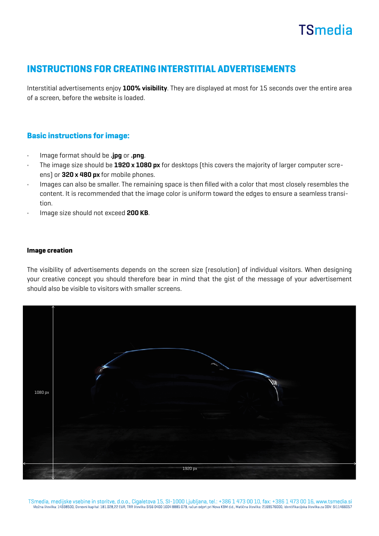# **TSmedia**

## INSTRUCTIONS FOR CREATING INTERSTITIAL ADVERTISEMENTS

Interstitial advertisements enjoy 100% visibility. They are displayed at most for 15 seconds over the entire area of a screen, before the website is loaded.

### Basic instructions for image:

- Image format should be .jpg or .png.
- The image size should be 1920 x 1080 px for desktops (this covers the majority of larger computer screens) or 320 x 480 px for mobile phones.
- Images can also be smaller. The remaining space is then filled with a color that most closely resembles the content. It is recommended that the image color is uniform toward the edges to ensure a seamless transition.
- Image size should not exceed 200 KB.

#### Image creation

The visibility of advertisements depends on the screen size (resolution) of individual visitors. When designing your creative concept you should therefore bear in mind that the gist of the message of your advertisement should also be visible to visitors with smaller screens.



TSmedia, medijske vsebine in storitve, d.o.o., Cigaletova 15, SI-1000 Ljubljana, tel.: +386 1 473 00 10, fax: +386 1 473 00 16, www.tsmedia.si Vložna številka: 14338500, Osnovni kapital: 181.028,22 EUR, TRR številka SI56 0400 1004 8885 079, račun odprt pri Nova KBM d.d., Matična številka: 2169576000, Identifikacijska številka za DDV: SI11466057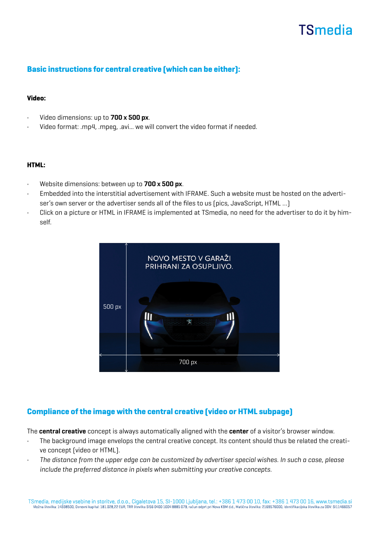# **TSmedia**

### Basic instructions for central creative (which can be either):

#### Video:

- Video dimensions: up to 700 x 500 px.
- Video format: .mp4, .mpeg, .avi... we will convert the video format if needed.

#### HTML:

- Website dimensions: between up to 700 x 500 px.
- Embedded into the interstitial advertisement with IFRAME. Such a website must be hosted on the advertiser's own server or the advertiser sends all of the files to us [pics, JavaScript, HTML ...]
- Click on a picture or HTML in IFRAME is implemented at TSmedia, no need for the advertiser to do it by himself.



### Compliance of the image with the central creative (video or HTML subpage)

The central creative concept is always automatically aligned with the center of a visitor's browser window.

- The background image envelops the central creative concept. Its content should thus be related the creative concept (video or HTML).
- The distance from the upper edge can be customized by advertiser special wishes. In such a case, please include the preferred distance in pixels when submitting your creative concepts.